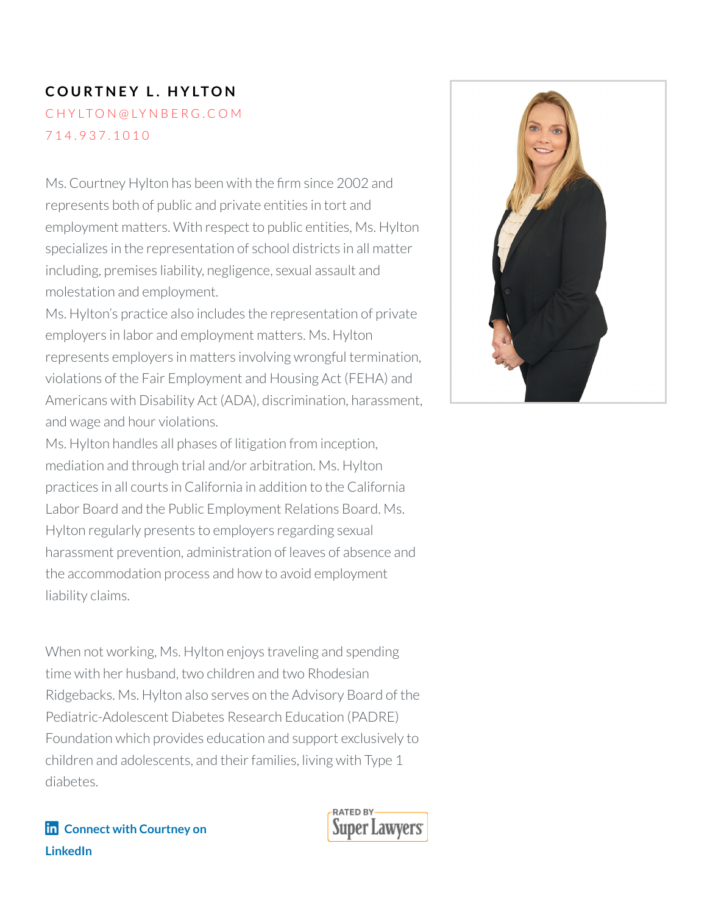# **C O U RT N E Y L . H Y LTO N** C H Y [LTO](mailto:chylton@lynberg.com) N @ LY N B E R G . C O M 7 1 4 . [9](tel:714.937.1010) 3 7 . 1 0 1 0

Ms. Courtney Hylton has been with the firm since 2002 and represents both of public and private entities in tort and employment matters. With respect to public entities, Ms. Hylton specializes in the representation of school districts in all matter including, premises liability, negligence, sexual assault and molestation and employment.

Ms. Hylton's practice also includes the representation of private employers in labor and employment matters. Ms. Hylton represents employers in matters involving wrongful termination, violations of the Fair Employment and Housing Act (FEHA) and Americans with Disability Act (ADA), discrimination, harassment, and wage and hour violations.

Ms. Hylton handles all phases of litigation from inception, mediation and through trial and/or arbitration. Ms. Hylton practices in all courts in California in addition to the California Labor Board and the Public Employment Relations Board. Ms. Hylton regularly presents to employers regarding sexual harassment prevention, administration of leaves of absence and the accommodation process and how to avoid employment liability claims.

When not working, Ms. Hylton enjoys traveling and spending time with her husband, two children and two Rhodesian Ridgebacks. Ms. Hylton also serves on the Advisory Board of the Pediatric-Adolescent Diabetes Research Education (PADRE) Foundation which provides education and support exclusively to children and adolescents, and their families, living with Type 1 diabetes.



### **Connect with [Courtney](https://www.linkedin.com/in/courtney-hylton-87b65236/) on LinkedIn**

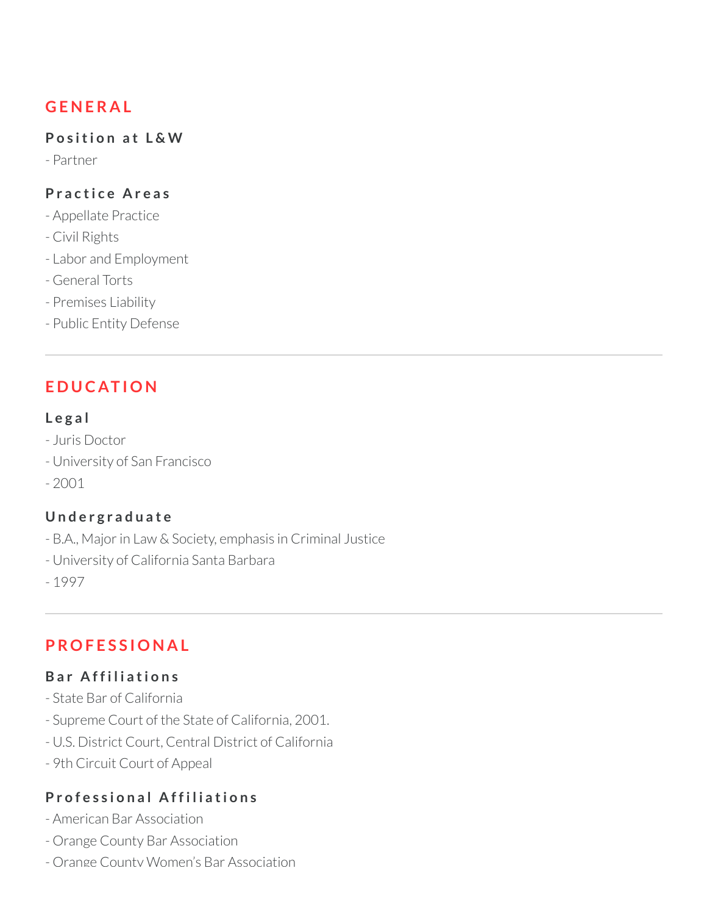# **G E N E R A L**

#### **P o s iti o n a t L & W**

- Partner

#### **P r a c ti c e A r e a s**

- Appellate Practice
- Civil Rights
- Labor and Employment
- General Torts
- Premises Liability
- Public Entity Defense

## **E D U C AT I O N**

#### **L e g a l**

- Juris Doctor
- University of San Francisco
- $-2001$

#### **U n d e r g r a d u a t e**

- B.A., Major in Law & Society, emphasis in Criminal Justice
- University of California Santa Barbara
- 1997

## **P RO F E S S I O N A L**

#### **B a r A f f i l i a ti o n s**

- State Bar of California
- Supreme Court of the State of California, 2001.
- U.S. District Court, Central District of California
- 9th Circuit Court of Appeal

#### **P r o f e s s i o n a l A f f i l i a ti o n s**

- American Bar Association
- Orange County Bar Association
- Orange County Women's Bar Association